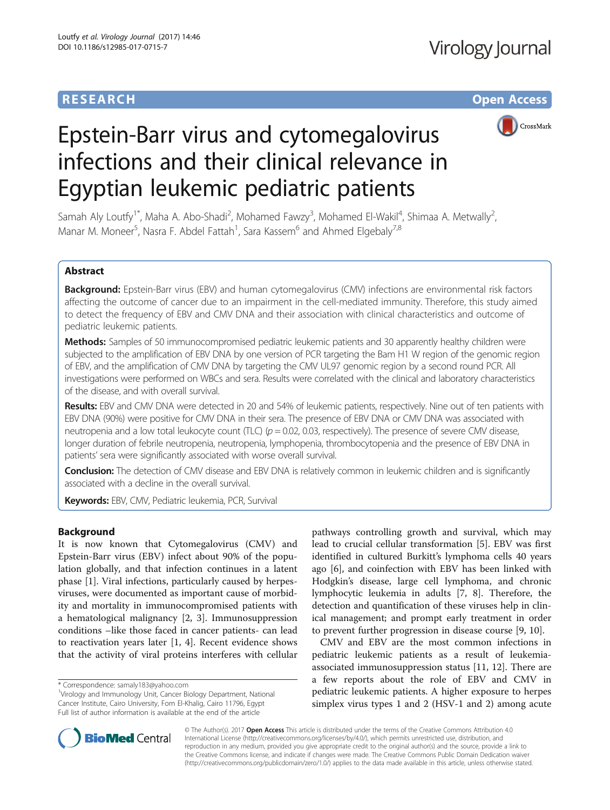# **RESEARCH CHE Open Access**



# Epstein-Barr virus and cytomegalovirus infections and their clinical relevance in Egyptian leukemic pediatric patients

Samah Aly Loutfy<sup>1\*</sup>, Maha A. Abo-Shadi<sup>2</sup>, Mohamed Fawzy<sup>3</sup>, Mohamed El-Wakil<sup>4</sup>, Shimaa A. Metwally<sup>2</sup> .<br>, Manar M. Moneer<sup>5</sup>, Nasra F. Abdel Fattah<sup>1</sup>, Sara Kassem<sup>6</sup> and Ahmed Elgebaly<sup>7,8</sup>

# Abstract

Background: Epstein-Barr virus (EBV) and human cytomegalovirus (CMV) infections are environmental risk factors affecting the outcome of cancer due to an impairment in the cell-mediated immunity. Therefore, this study aimed to detect the frequency of EBV and CMV DNA and their association with clinical characteristics and outcome of pediatric leukemic patients.

Methods: Samples of 50 immunocompromised pediatric leukemic patients and 30 apparently healthy children were subjected to the amplification of EBV DNA by one version of PCR targeting the Bam H1 W region of the genomic region of EBV, and the amplification of CMV DNA by targeting the CMV UL97 genomic region by a second round PCR. All investigations were performed on WBCs and sera. Results were correlated with the clinical and laboratory characteristics of the disease, and with overall survival.

Results: EBV and CMV DNA were detected in 20 and 54% of leukemic patients, respectively. Nine out of ten patients with EBV DNA (90%) were positive for CMV DNA in their sera. The presence of EBV DNA or CMV DNA was associated with neutropenia and a low total leukocyte count (TLC)  $(p = 0.02, 0.03,$  respectively). The presence of severe CMV disease, longer duration of febrile neutropenia, neutropenia, lymphopenia, thrombocytopenia and the presence of EBV DNA in patients' sera were significantly associated with worse overall survival.

**Conclusion:** The detection of CMV disease and EBV DNA is relatively common in leukemic children and is significantly associated with a decline in the overall survival.

Keywords: EBV, CMV, Pediatric leukemia, PCR, Survival

# Background

It is now known that Cytomegalovirus (CMV) and Epstein-Barr virus (EBV) infect about 90% of the population globally, and that infection continues in a latent phase [\[1\]](#page-10-0). Viral infections, particularly caused by herpesviruses, were documented as important cause of morbidity and mortality in immunocompromised patients with a hematological malignancy [[2, 3](#page-10-0)]. Immunosuppression conditions –like those faced in cancer patients- can lead to reactivation years later [[1, 4\]](#page-10-0). Recent evidence shows that the activity of viral proteins interferes with cellular

pathways controlling growth and survival, which may lead to crucial cellular transformation [\[5](#page-10-0)]. EBV was first identified in cultured Burkitt's lymphoma cells 40 years ago [[6\]](#page-10-0), and coinfection with EBV has been linked with Hodgkin's disease, large cell lymphoma, and chronic lymphocytic leukemia in adults [\[7](#page-10-0), [8\]](#page-10-0). Therefore, the detection and quantification of these viruses help in clinical management; and prompt early treatment in order to prevent further progression in disease course [[9, 10\]](#page-10-0).

CMV and EBV are the most common infections in pediatric leukemic patients as a result of leukemiaassociated immunosuppression status [\[11](#page-10-0), [12](#page-10-0)]. There are a few reports about the role of EBV and CMV in pediatric leukemic patients. A higher exposure to herpes simplex virus types 1 and 2 (HSV-1 and 2) among acute



© The Author(s). 2017 **Open Access** This article is distributed under the terms of the Creative Commons Attribution 4.0 International License [\(http://creativecommons.org/licenses/by/4.0/](http://creativecommons.org/licenses/by/4.0/)), which permits unrestricted use, distribution, and reproduction in any medium, provided you give appropriate credit to the original author(s) and the source, provide a link to the Creative Commons license, and indicate if changes were made. The Creative Commons Public Domain Dedication waiver [\(http://creativecommons.org/publicdomain/zero/1.0/](http://creativecommons.org/publicdomain/zero/1.0/)) applies to the data made available in this article, unless otherwise stated.

<sup>\*</sup> Correspondence: [samaly183@yahoo.com](mailto:samaly183@yahoo.com) <sup>1</sup>

<sup>&</sup>lt;sup>1</sup>Virology and Immunology Unit, Cancer Biology Department, National Cancer Institute, Cairo University, Fom El-Khalig, Cairo 11796, Egypt Full list of author information is available at the end of the article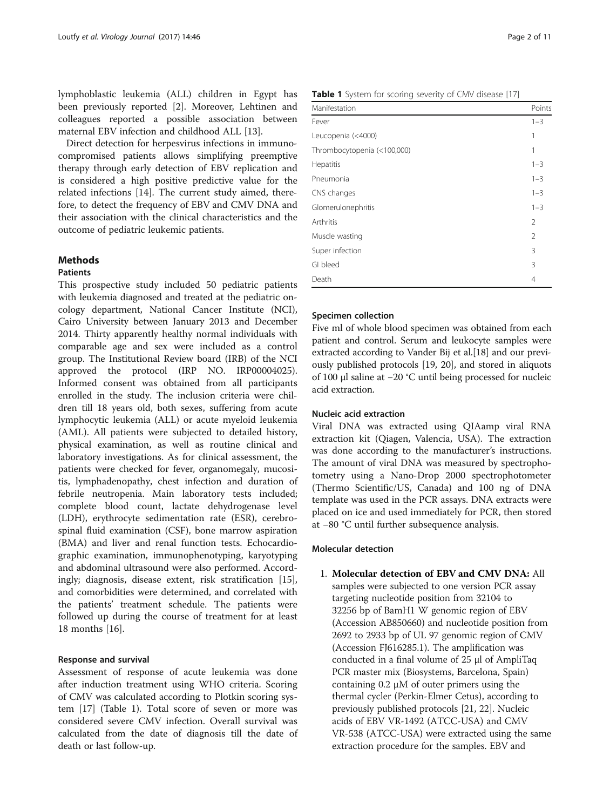lymphoblastic leukemia (ALL) children in Egypt has been previously reported [[2\]](#page-10-0). Moreover, Lehtinen and colleagues reported a possible association between maternal EBV infection and childhood ALL [[13](#page-10-0)].

Direct detection for herpesvirus infections in immunocompromised patients allows simplifying preemptive therapy through early detection of EBV replication and is considered a high positive predictive value for the related infections [\[14](#page-10-0)]. The current study aimed, therefore, to detect the frequency of EBV and CMV DNA and their association with the clinical characteristics and the outcome of pediatric leukemic patients.

# **Methods**

# Patients

This prospective study included 50 pediatric patients with leukemia diagnosed and treated at the pediatric oncology department, National Cancer Institute (NCI), Cairo University between January 2013 and December 2014. Thirty apparently healthy normal individuals with comparable age and sex were included as a control group. The Institutional Review board (IRB) of the NCI approved the protocol (IRP NO. IRP00004025). Informed consent was obtained from all participants enrolled in the study. The inclusion criteria were children till 18 years old, both sexes, suffering from acute lymphocytic leukemia (ALL) or acute myeloid leukemia (AML). All patients were subjected to detailed history, physical examination, as well as routine clinical and laboratory investigations. As for clinical assessment, the patients were checked for fever, organomegaly, mucositis, lymphadenopathy, chest infection and duration of febrile neutropenia. Main laboratory tests included; complete blood count, lactate dehydrogenase level (LDH), erythrocyte sedimentation rate (ESR), cerebrospinal fluid examination (CSF), bone marrow aspiration (BMA) and liver and renal function tests. Echocardiographic examination, immunophenotyping, karyotyping and abdominal ultrasound were also performed. Accordingly; diagnosis, disease extent, risk stratification [\[15](#page-10-0)], and comorbidities were determined, and correlated with the patients' treatment schedule. The patients were followed up during the course of treatment for at least 18 months [[16](#page-10-0)].

## Response and survival

Assessment of response of acute leukemia was done after induction treatment using WHO criteria. Scoring of CMV was calculated according to Plotkin scoring system [\[17](#page-10-0)] (Table 1). Total score of seven or more was considered severe CMV infection. Overall survival was calculated from the date of diagnosis till the date of death or last follow-up.

|  |  | Table 1 System for scoring severity of CMV disease [17] |  |  |
|--|--|---------------------------------------------------------|--|--|
|  |  |                                                         |  |  |

| Manifestation               | Points         |
|-----------------------------|----------------|
| Fever                       | $1 - 3$        |
| Leucopenia (<4000)          | 1              |
| Thrombocytopenia (<100,000) | 1              |
| Hepatitis                   | $1 - 3$        |
| Pneumonia                   | $1 - 3$        |
| CNS changes                 | $1 - 3$        |
| Glomerulonephritis          | $1 - 3$        |
| Arthritis                   | $\overline{2}$ |
| Muscle wasting              | $\mathfrak{D}$ |
| Super infection             | 3              |
| GI bleed                    | 3              |
| Death                       | 4              |

# Specimen collection

Five ml of whole blood specimen was obtained from each patient and control. Serum and leukocyte samples were extracted according to Vander Bij et al.[[18\]](#page-10-0) and our previously published protocols [\[19, 20](#page-10-0)], and stored in aliquots of 100 μl saline at −20 °C until being processed for nucleic acid extraction.

## Nucleic acid extraction

Viral DNA was extracted using QIAamp viral RNA extraction kit (Qiagen, Valencia, USA). The extraction was done according to the manufacturer's instructions. The amount of viral DNA was measured by spectrophotometry using a Nano-Drop 2000 spectrophotometer (Thermo Scientific/US, Canada) and 100 ng of DNA template was used in the PCR assays. DNA extracts were placed on ice and used immediately for PCR, then stored at −80 °C until further subsequence analysis.

# Molecular detection

1. Molecular detection of EBV and CMV DNA: All samples were subjected to one version PCR assay targeting nucleotide position from 32104 to 32256 bp of BamH1 W genomic region of EBV (Accession AB850660) and nucleotide position from 2692 to 2933 bp of UL 97 genomic region of CMV (Accession FJ616285.1). The amplification was conducted in a final volume of 25 μl of AmpliTaq PCR master mix (Biosystems, Barcelona, Spain) containing 0.2 μM of outer primers using the thermal cycler (Perkin-Elmer Cetus), according to previously published protocols [\[21](#page-10-0), [22\]](#page-10-0). Nucleic acids of EBV VR-1492 (ATCC-USA) and CMV VR-538 (ATCC-USA) were extracted using the same extraction procedure for the samples. EBV and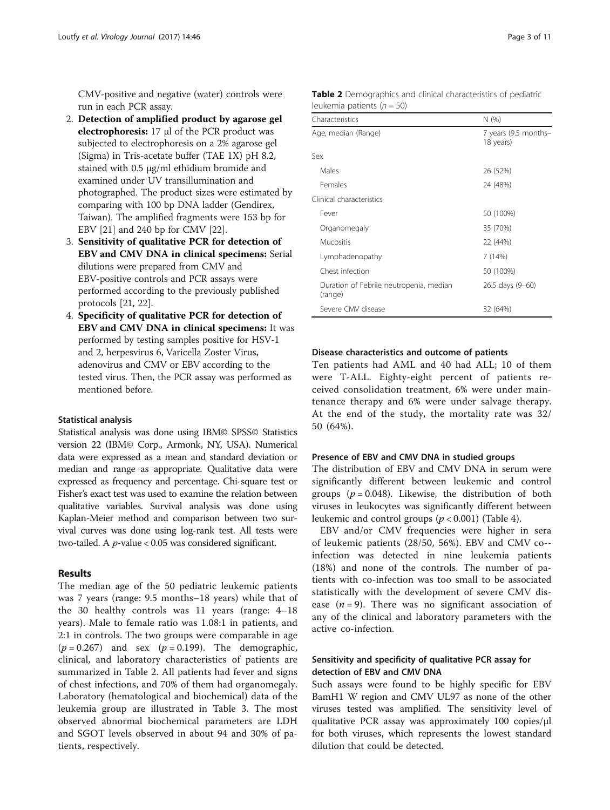CMV-positive and negative (water) controls were run in each PCR assay.

- 2. Detection of amplified product by agarose gel electrophoresis:  $17 \mu l$  of the PCR product was subjected to electrophoresis on a 2% agarose gel (Sigma) in Tris-acetate buffer (TAE 1X) pH 8.2, stained with 0.5 μg/ml ethidium bromide and examined under UV transillumination and photographed. The product sizes were estimated by comparing with 100 bp DNA ladder (Gendirex, Taiwan). The amplified fragments were 153 bp for EBV [\[21\]](#page-10-0) and 240 bp for CMV [\[22\]](#page-10-0).
- 3. Sensitivity of qualitative PCR for detection of EBV and CMV DNA in clinical specimens: Serial dilutions were prepared from CMV and EBV-positive controls and PCR assays were performed according to the previously published protocols [[21,](#page-10-0) [22](#page-10-0)].
- 4. Specificity of qualitative PCR for detection of EBV and CMV DNA in clinical specimens: It was performed by testing samples positive for HSV-1 and 2, herpesvirus 6, Varicella Zoster Virus, adenovirus and CMV or EBV according to the tested virus. Then, the PCR assay was performed as mentioned before.

## Statistical analysis

Statistical analysis was done using IBM© SPSS© Statistics version 22 (IBM© Corp., Armonk, NY, USA). Numerical data were expressed as a mean and standard deviation or median and range as appropriate. Qualitative data were expressed as frequency and percentage. Chi-square test or Fisher's exact test was used to examine the relation between qualitative variables. Survival analysis was done using Kaplan-Meier method and comparison between two survival curves was done using log-rank test. All tests were two-tailed. A  $p$ -value < 0.05 was considered significant.

# Results

The median age of the 50 pediatric leukemic patients was 7 years (range: 9.5 months–18 years) while that of the 30 healthy controls was 11 years (range: 4–18 years). Male to female ratio was 1.08:1 in patients, and 2:1 in controls. The two groups were comparable in age  $(p = 0.267)$  and sex  $(p = 0.199)$ . The demographic, clinical, and laboratory characteristics of patients are summarized in Table 2. All patients had fever and signs of chest infections, and 70% of them had organomegaly. Laboratory (hematological and biochemical) data of the leukemia group are illustrated in Table [3.](#page-3-0) The most observed abnormal biochemical parameters are LDH and SGOT levels observed in about 94 and 30% of patients, respectively.

| Characteristics                                    | N (%)                             |
|----------------------------------------------------|-----------------------------------|
| Age, median (Range)                                | 7 years (9.5 months-<br>18 years) |
| Sex                                                |                                   |
| Males                                              | 26 (52%)                          |
| Females                                            | 24 (48%)                          |
| Clinical characteristics                           |                                   |
| Fever                                              | 50 (100%)                         |
| Organomegaly                                       | 35 (70%)                          |
| <b>Mucositis</b>                                   | 22 (44%)                          |
| Lymphadenopathy                                    | 7(14%)                            |
| Chest infection                                    | 50 (100%)                         |
| Duration of Febrile neutropenia, median<br>(range) | 26.5 days (9–60)                  |
| Severe CMV disease                                 | 32 (64%)                          |

# Table 2 Demographics and clinical characteristics of pediatric leukemia patients ( $n = 50$ )

## Disease characteristics and outcome of patients

Ten patients had AML and 40 had ALL; 10 of them were T-ALL. Eighty-eight percent of patients received consolidation treatment, 6% were under maintenance therapy and 6% were under salvage therapy. At the end of the study, the mortality rate was 32/ 50 (64%).

# Presence of EBV and CMV DNA in studied groups

The distribution of EBV and CMV DNA in serum were significantly different between leukemic and control groups ( $p = 0.048$ ). Likewise, the distribution of both viruses in leukocytes was significantly different between leukemic and control groups  $(p < 0.001)$  (Table [4](#page-3-0)).

EBV and/or CMV frequencies were higher in sera of leukemic patients (28/50, 56%). EBV and CMV co- infection was detected in nine leukemia patients (18%) and none of the controls. The number of patients with co-infection was too small to be associated statistically with the development of severe CMV disease  $(n = 9)$ . There was no significant association of any of the clinical and laboratory parameters with the active co-infection.

# Sensitivity and specificity of qualitative PCR assay for detection of EBV and CMV DNA

Such assays were found to be highly specific for EBV BamH1 W region and CMV UL97 as none of the other viruses tested was amplified. The sensitivity level of qualitative PCR assay was approximately 100 copies/μl for both viruses, which represents the lowest standard dilution that could be detected.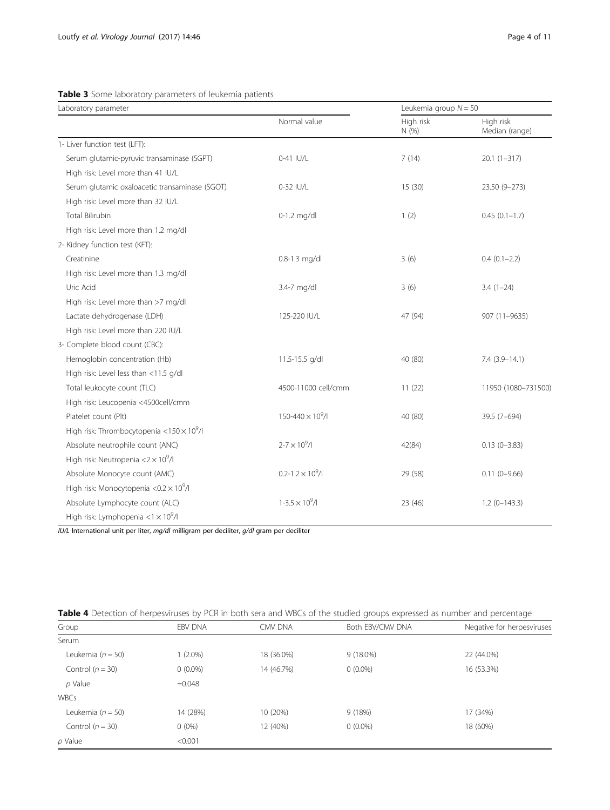| Laboratory parameter                                     |                            | Leukemia group $N = 50$ |                             |  |
|----------------------------------------------------------|----------------------------|-------------------------|-----------------------------|--|
|                                                          | Normal value               | High risk<br>N(%)       | High risk<br>Median (range) |  |
| 1- Liver function test (LFT):                            |                            |                         |                             |  |
| Serum glutamic-pyruvic transaminase (SGPT)               | 0-41 IU/L                  | 7(14)                   | $20.1(1-317)$               |  |
| High risk: Level more than 41 IU/L                       |                            |                         |                             |  |
| Serum glutamic oxaloacetic transaminase (SGOT)           | 0-32 IU/L                  | 15(30)                  | 23.50 (9-273)               |  |
| High risk: Level more than 32 IU/L                       |                            |                         |                             |  |
| <b>Total Bilirubin</b>                                   | $0-1.2$ mg/dl              | 1(2)                    | $0.45(0.1-1.7)$             |  |
| High risk: Level more than 1.2 mg/dl                     |                            |                         |                             |  |
| 2- Kidney function test (KFT):                           |                            |                         |                             |  |
| Creatinine                                               | 0.8-1.3 mg/dl              | 3(6)                    | $0.4(0.1-2.2)$              |  |
| High risk: Level more than 1.3 mg/dl                     |                            |                         |                             |  |
| Uric Acid                                                | 3.4-7 mg/dl                | 3(6)                    | $3.4(1-24)$                 |  |
| High risk: Level more than >7 mg/dl                      |                            |                         |                             |  |
| Lactate dehydrogenase (LDH)                              | 125-220 IU/L               | 47 (94)                 | 907 (11-9635)               |  |
| High risk: Level more than 220 IU/L                      |                            |                         |                             |  |
| 3- Complete blood count (CBC):                           |                            |                         |                             |  |
| Hemoglobin concentration (Hb)                            | 11.5-15.5 g/dl             | 40 (80)                 | $7.4(3.9-14.1)$             |  |
| High risk: Level less than <11.5 g/dl                    |                            |                         |                             |  |
| Total leukocyte count (TLC)                              | 4500-11000 cell/cmm        | 11(22)                  | 11950 (1080-731500)         |  |
| High risk: Leucopenia <4500cell/cmm                      |                            |                         |                             |  |
| Platelet count (Plt)                                     | $150 - 440 \times 10^9$ /l | 40 (80)                 | 39.5 (7-694)                |  |
| High risk: Thrombocytopenia < $150 \times 10^9$ /I       |                            |                         |                             |  |
| Absolute neutrophile count (ANC)                         | $2 - 7 \times 10^9$ /I     | 42(84)                  | $0.13(0 - 3.83)$            |  |
| High risk: Neutropenia $<$ 2 $\times$ 10 <sup>9</sup> /l |                            |                         |                             |  |
| Absolute Monocyte count (AMC)                            | $0.2 - 1.2 \times 10^9$ /l | 29 (58)                 | $0.11(0 - 9.66)$            |  |
| High risk: Monocytopenia < $0.2 \times 10^9$ /I          |                            |                         |                             |  |
| Absolute Lymphocyte count (ALC)                          | $1 - 3.5 \times 10^9 / I$  | 23 (46)                 | $1.2$ (0-143.3)             |  |
| High risk: Lymphopenia $<$ 1 $\times$ 10 <sup>9</sup> /l |                            |                         |                             |  |

# <span id="page-3-0"></span>Table 3 Some laboratory parameters of leukemia patients

IU/L International unit per liter, mg/dl milligram per deciliter, g/dl gram per deciliter

|  |  | <b>Table 4</b> Detection of herpesviruses by PCR in both sera and WBCs of the studied groups expressed as number and percentage |
|--|--|---------------------------------------------------------------------------------------------------------------------------------|
|  |  |                                                                                                                                 |

| EBV DNA    | CMV DNA    | Both EBV/CMV DNA | Negative for herpesviruses |
|------------|------------|------------------|----------------------------|
|            |            |                  |                            |
| $(2.0\%)$  | 18 (36.0%) | $9(18.0\%)$      | 22 (44.0%)                 |
| $0(0.0\%)$ | 14 (46.7%) | $0(0.0\%)$       | 16 (53.3%)                 |
| $=0.048$   |            |                  |                            |
|            |            |                  |                            |
| 14 (28%)   | 10 (20%)   | 9(18%)           | 17 (34%)                   |
| $0(0\%)$   | 12 (40%)   | $0(0.0\%)$       | 18 (60%)                   |
| < 0.001    |            |                  |                            |
|            |            |                  |                            |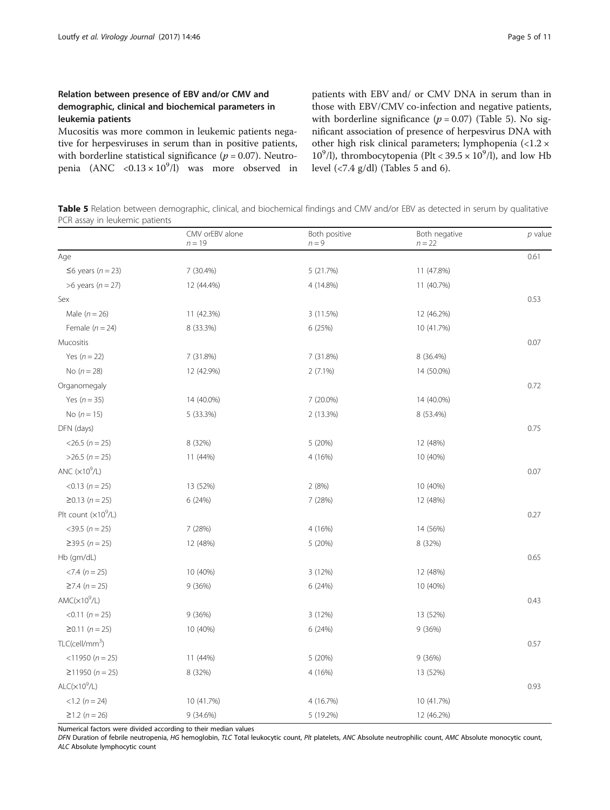# Relation between presence of EBV and/or CMV and demographic, clinical and biochemical parameters in leukemia patients

Mucositis was more common in leukemic patients negative for herpesviruses in serum than in positive patients, with borderline statistical significance ( $p = 0.07$ ). Neutropenia  $(ANC \le 0.13 \times 10^9/l)$  was more observed in

patients with EBV and/ or CMV DNA in serum than in those with EBV/CMV co-infection and negative patients, with borderline significance ( $p = 0.07$ ) (Table 5). No significant association of presence of herpesvirus DNA with other high risk clinical parameters; lymphopenia (<1.2 × 10<sup>9</sup>/l), thrombocytopenia (Plt <  $39.5 \times 10^9$ /l), and low Hb level (<7.4 g/dl) (Tables 5 and [6\)](#page-5-0).

Table 5 Relation between demographic, clinical, and biochemical findings and CMV and/or EBV as detected in serum by qualitative PCR assay in leukemic patients

|                               | CMV orEBV alone<br>$n = 19$ | Both positive<br>$n = 9$ | Both negative<br>$n = 22$ | p value |
|-------------------------------|-----------------------------|--------------------------|---------------------------|---------|
| Age                           |                             |                          |                           | 0.61    |
| $\leq$ 6 years (n = 23)       | 7 (30.4%)                   | 5 (21.7%)                | 11 (47.8%)                |         |
| >6 years ( $n = 27$ )         | 12 (44.4%)                  | 4 (14.8%)                | 11 (40.7%)                |         |
| Sex                           |                             |                          |                           | 0.53    |
| Male $(n = 26)$               | 11 (42.3%)                  | 3 (11.5%)                | 12 (46.2%)                |         |
| Female $(n = 24)$             | 8 (33.3%)                   | 6 (25%)                  | 10 (41.7%)                |         |
| Mucositis                     |                             |                          |                           | 0.07    |
| Yes $(n = 22)$                | 7 (31.8%)                   | 7 (31.8%)                | 8 (36.4%)                 |         |
| No $(n = 28)$                 | 12 (42.9%)                  | 2 (7.1%)                 | 14 (50.0%)                |         |
| Organomegaly                  |                             |                          |                           | 0.72    |
| Yes $(n = 35)$                | 14 (40.0%)                  | 7 (20.0%)                | 14 (40.0%)                |         |
| No $(n = 15)$                 | 5 (33.3%)                   | 2 (13.3%)                | 8 (53.4%)                 |         |
| DFN (days)                    |                             |                          |                           | 0.75    |
| $<$ 26.5 ( $n = 25$ )         | 8 (32%)                     | 5 (20%)                  | 12 (48%)                  |         |
| $>26.5$ (n = 25)              | 11 (44%)                    | 4 (16%)                  | 10 (40%)                  |         |
| ANC $(x10^9/L)$               |                             |                          |                           | 0.07    |
| $< 0.13$ ( $n = 25$ )         | 13 (52%)                    | 2(8%)                    | 10 (40%)                  |         |
| $≥0.13 (n = 25)$              | 6 (24%)                     | 7 (28%)                  | 12 (48%)                  |         |
| Plt count $(x10^9/L)$         |                             |                          |                           | 0.27    |
| $<$ 39.5 ( $n = 25$ )         | 7 (28%)                     | 4 (16%)                  | 14 (56%)                  |         |
| $≥39.5 (n = 25)$              | 12 (48%)                    | 5 (20%)                  | 8 (32%)                   |         |
| Hb (gm/dL)                    |                             |                          |                           | 0.65    |
| $< 7.4 (n = 25)$              | 10 (40%)                    | 3 (12%)                  | 12 (48%)                  |         |
| $≥7.4 (n = 25)$               | 9(36%)                      | 6 (24%)                  | 10 (40%)                  |         |
| $AMC(x10^9/L)$                |                             |                          |                           | 0.43    |
| $< 0.11$ (n = 25)             | 9(36%)                      | 3 (12%)                  | 13 (52%)                  |         |
| $≥0.11 (n = 25)$              | 10 (40%)                    | 6 (24%)                  | 9(36%)                    |         |
| $TLC$ (cell/mm <sup>3</sup> ) |                             |                          |                           | 0.57    |
| $<$ 11950 (n = 25)            | 11 (44%)                    | 5 (20%)                  | 9(36%)                    |         |
| $≥11950 (n = 25)$             | 8 (32%)                     | 4 (16%)                  | 13 (52%)                  |         |
| $ALC(x10^9/L)$                |                             |                          |                           | 0.93    |
| $<1.2$ (n = 24)               | 10 (41.7%)                  | 4 (16.7%)                | 10 (41.7%)                |         |
| $≥1.2 (n = 26)$               | 9 (34.6%)                   | 5 (19.2%)                | 12 (46.2%)                |         |

Numerical factors were divided according to their median values

DFN Duration of febrile neutropenia, HG hemoglobin, TLC Total leukocytic count, Plt platelets, ANC Absolute neutrophilic count, AMC Absolute monocytic count, ALC Absolute lymphocytic count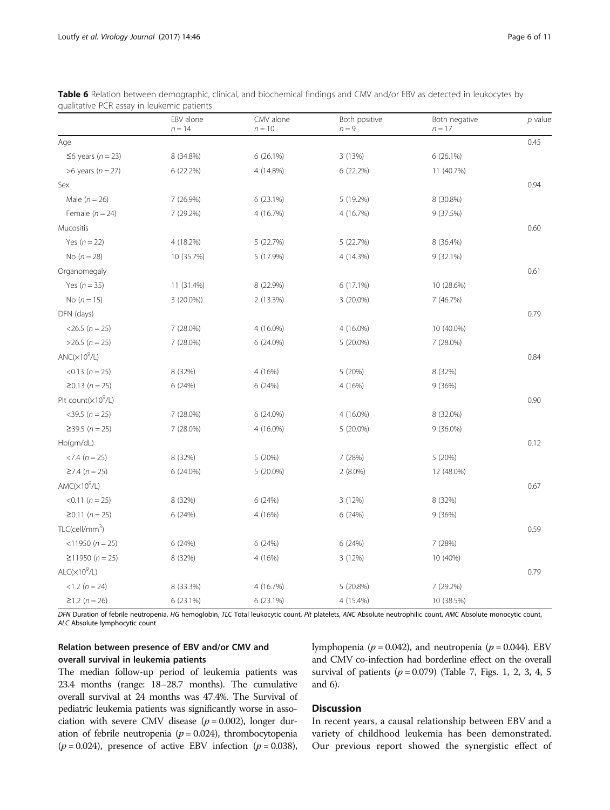| qualitative PCR assay in leukemic patients |                       |                       |                          |                           |           |  |
|--------------------------------------------|-----------------------|-----------------------|--------------------------|---------------------------|-----------|--|
|                                            | EBV alone<br>$n = 14$ | CMV alone<br>$n = 10$ | Both positive<br>$n = 9$ | Both negative<br>$n = 17$ | $p$ value |  |
| Age                                        |                       |                       |                          |                           | 0.45      |  |
| $\leq$ 6 years (n = 23)                    | 8 (34.8%)             | 6 (26.1%)             | 3 (13%)                  | 6 (26.1%)                 |           |  |
| $>6$ years ( $n = 27$ )                    | 6 (22.2%)             | 4 (14.8%)             | 6 (22.2%)                | 11 (40.7%)                |           |  |
| Sex                                        |                       |                       |                          |                           | 0.94      |  |
| Male $(n = 26)$                            | 7 (26.9%)             | 6 (23.1%)             | 5 (19.2%)                | 8 (30.8%)                 |           |  |
| Female $(n = 24)$                          | 7 (29.2%)             | 4 (16.7%)             | 4 (16.7%)                | 9 (37.5%)                 |           |  |
| Mucositis                                  |                       |                       |                          |                           | 0.60      |  |
| Yes $(n=22)$                               | 4 (18.2%)             | 5 (22.7%)             | 5 (22.7%)                | 8 (36.4%)                 |           |  |
| No $(n = 28)$                              | 10 (35.7%)            | 5 (17.9%)             | 4 (14.3%)                | 9(32.1%)                  |           |  |
| Organomegaly                               |                       |                       |                          |                           | 0.61      |  |
| Yes $(n = 35)$                             | 11 (31.4%)            | 8 (22.9%)             | 6 (17.1%)                | 10 (28.6%)                |           |  |
| No $(n = 15)$                              | $3(20.0\%)$           | 2 (13.3%)             | 3 (20.0%)                | 7 (46.7%)                 |           |  |
| DFN (days)                                 |                       |                       |                          |                           | 0.79      |  |
| $<$ 26.5 ( $n = 25$ )                      | 7 (28.0%)             | 4 (16.0%)             | 4 (16.0%)                | 10 (40.0%)                |           |  |
| $>26.5$ ( $n = 25$ )                       | 7 (28.0%)             | 6 (24.0%)             | 5 (20.0%)                | 7 (28.0%)                 |           |  |
| ANC(x10 <sup>9</sup> /L)                   |                       |                       |                          |                           | 0.84      |  |
| $< 0.13$ ( $n = 25$ )                      | 8 (32%)               | 4 (16%)               | 5 (20%)                  | 8 (32%)                   |           |  |
| $≥0.13 (n = 25)$                           | 6(24%)                | 6 (24%)               | 4 (16%)                  | 9 (36%)                   |           |  |
| Plt count(×10 <sup>9</sup> /L)             |                       |                       |                          |                           | 0.90      |  |
| $<$ 39.5 ( $n = 25$ )                      | 7 (28.0%)             | 6 (24.0%)             | 4 (16.0%)                | 8 (32.0%)                 |           |  |
| $≥39.5 (n = 25)$                           | 7 (28.0%)             | 4 (16.0%)             | 5 (20.0%)                | 9 (36.0%)                 |           |  |
| Hb(gm/dL)                                  |                       |                       |                          |                           | 0.12      |  |
| $< 7.4 (n = 25)$                           | 8 (32%)               | 5 (20%)               | 7 (28%)                  | 5 (20%)                   |           |  |
| $≥7.4 (n = 25)$                            | 6 (24.0%)             | 5 (20.0%)             | $2(8.0\%)$               | 12 (48.0%)                |           |  |
| $AMC(x10^9/L)$                             |                       |                       |                          |                           | 0.67      |  |
| $< 0.11 (n = 25)$                          | 8 (32%)               | 6 (24%)               | 3 (12%)                  | 8 (32%)                   |           |  |
| $≥0.11 (n = 25)$                           | 6 (24%)               | 4 (16%)               | 6 (24%)                  | 9 (36%)                   |           |  |
| $TLC$ (cell/mm <sup>3</sup> )              |                       |                       |                          |                           | 0.59      |  |
| $<$ 11950 (n = 25)                         | 6 (24%)               | 6 (24%)               | 6 (24%)                  | 7 (28%)                   |           |  |
| $≥11950 (n = 25)$                          | 8 (32%)               | 4 (16%)               | 3 (12%)                  | 10 (40%)                  |           |  |

<span id="page-5-0"></span>

| Table 6 Relation between demographic, clinical, and biochemical findings and CMV and/or EBV as detected in leukocytes by |  |  |  |
|--------------------------------------------------------------------------------------------------------------------------|--|--|--|
| qualitative PCR assay in leukemic patients                                                                               |  |  |  |

DFN Duration of febrile neutropenia, HG hemoglobin, TLC Total leukocytic count, Plt platelets, ANC Absolute neutrophilic count, AMC Absolute monocytic count, ALC Absolute lymphocytic count

 $(1.2 \text{ (n = 24)}$  8 (33.3%) 4 (16.7%) 5 (20.8%) 7 (29.2%)  $≥1.2 (n = 26)$  6 (23.1%) 6 (23.1%) 6 (23.1%) 4 (15.4%) 10 (38.5%)

 $\langle \perp \rangle$  0.79

# Relation between presence of EBV and/or CMV and overall survival in leukemia patients

 $ALC(x10^9/L)$ 

The median follow-up period of leukemia patients was 23.4 months (range: 18–28.7 months). The cumulative overall survival at 24 months was 47.4%. The Survival of pediatric leukemia patients was significantly worse in association with severe CMV disease ( $p = 0.002$ ), longer duration of febrile neutropenia ( $p = 0.024$ ), thrombocytopenia  $(p = 0.024)$ , presence of active EBV infection  $(p = 0.038)$ , lymphopenia ( $p = 0.042$ ), and neutropenia ( $p = 0.044$ ). EBV and CMV co-infection had borderline effect on the overall survival of patients ( $p = 0.079$ ) (Table [7](#page-6-0), Figs. [1](#page-6-0), [2](#page-7-0), [3,](#page-7-0) [4, 5](#page-8-0) and [6\)](#page-9-0).

# **Discussion**

In recent years, a causal relationship between EBV and a variety of childhood leukemia has been demonstrated. Our previous report showed the synergistic effect of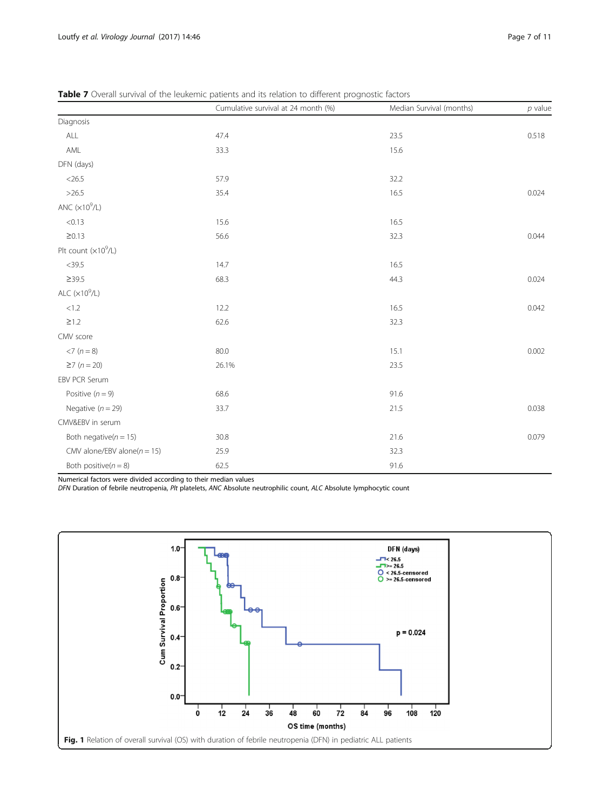|                                 | Cumulative survival at 24 month (%) | Median Survival (months) | $p$ value |
|---------------------------------|-------------------------------------|--------------------------|-----------|
| Diagnosis                       |                                     |                          |           |
| ALL                             | 47.4                                | 23.5                     | 0.518     |
| AML                             | 33.3                                | 15.6                     |           |
| DFN (days)                      |                                     |                          |           |
| $<$ 26.5                        | 57.9                                | 32.2                     |           |
| >26.5                           | 35.4                                | 16.5                     | 0.024     |
| ANC $(x10^9/L)$                 |                                     |                          |           |
| < 0.13                          | 15.6                                | 16.5                     |           |
| $\geq 0.13$                     | 56.6                                | 32.3                     | 0.044     |
| Plt count $(x10^9/L)$           |                                     |                          |           |
| $<$ 39.5                        | 14.7                                | 16.5                     |           |
| $\geq$ 39.5                     | 68.3                                | 44.3                     | 0.024     |
| ALC $(x10^9/L)$                 |                                     |                          |           |
| $<1.2\,$                        | 12.2                                | 16.5                     | 0.042     |
| $\geq$ 1.2                      | 62.6                                | 32.3                     |           |
| CMV score                       |                                     |                          |           |
| $<7 (n=8)$                      | 80.0                                | 15.1                     | 0.002     |
| $\geq 7$ (n = 20)               | 26.1%                               | 23.5                     |           |
| EBV PCR Serum                   |                                     |                          |           |
| Positive $(n = 9)$              | 68.6                                | 91.6                     |           |
| Negative $(n = 29)$             | 33.7                                | 21.5                     | 0.038     |
| CMV&EBV in serum                |                                     |                          |           |
| Both negative( $n = 15$ )       | 30.8                                | 21.6                     | 0.079     |
| CMV alone/EBV alone( $n = 15$ ) | 25.9                                | 32.3                     |           |
| Both positive( $n = 8$ )        | 62.5                                | 91.6                     |           |

<span id="page-6-0"></span>Table 7 Overall survival of the leukemic patients and its relation to different prognostic factors

Numerical factors were divided according to their median values

DFN Duration of febrile neutropenia, Plt platelets, ANC Absolute neutrophilic count, ALC Absolute lymphocytic count

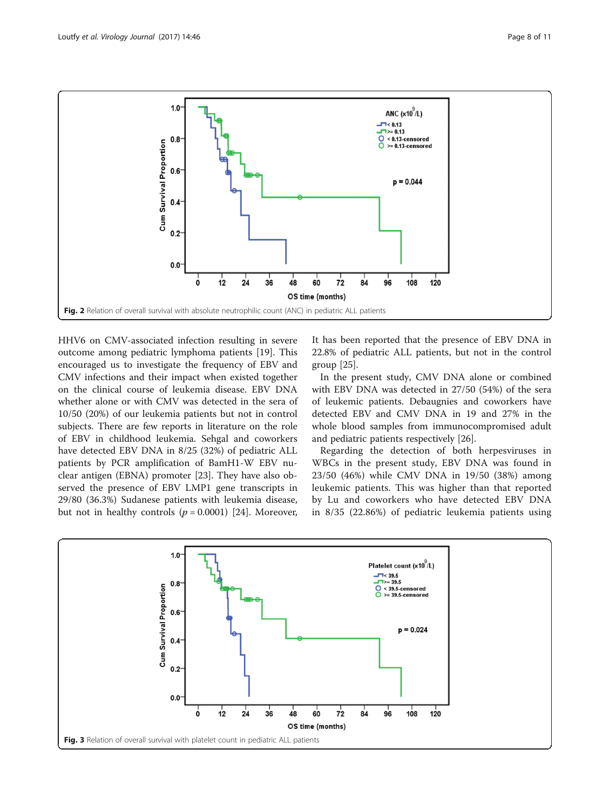<span id="page-7-0"></span>

HHV6 on CMV-associated infection resulting in severe outcome among pediatric lymphoma patients [[19](#page-10-0)]. This encouraged us to investigate the frequency of EBV and CMV infections and their impact when existed together on the clinical course of leukemia disease. EBV DNA whether alone or with CMV was detected in the sera of 10/50 (20%) of our leukemia patients but not in control subjects. There are few reports in literature on the role of EBV in childhood leukemia. Sehgal and coworkers have detected EBV DNA in 8/25 (32%) of pediatric ALL patients by PCR amplification of BamH1-W EBV nuclear antigen (EBNA) promoter [\[23](#page-10-0)]. They have also observed the presence of EBV LMP1 gene transcripts in 29/80 (36.3%) Sudanese patients with leukemia disease, but not in healthy controls ( $p = 0.0001$ ) [[24\]](#page-10-0). Moreover, It has been reported that the presence of EBV DNA in 22.8% of pediatric ALL patients, but not in the control group [[25\]](#page-10-0).

In the present study, CMV DNA alone or combined with EBV DNA was detected in 27/50 (54%) of the sera of leukemic patients. Debaugnies and coworkers have detected EBV and CMV DNA in 19 and 27% in the whole blood samples from immunocompromised adult and pediatric patients respectively [\[26\]](#page-10-0).

Regarding the detection of both herpesviruses in WBCs in the present study, EBV DNA was found in 23/50 (46%) while CMV DNA in 19/50 (38%) among leukemic patients. This was higher than that reported by Lu and coworkers who have detected EBV DNA in 8/35 (22.86%) of pediatric leukemia patients using

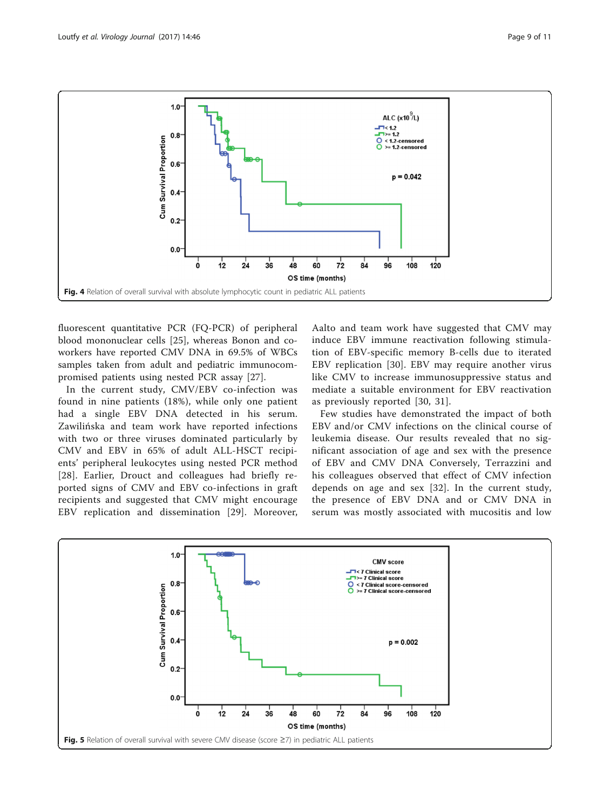<span id="page-8-0"></span>

fluorescent quantitative PCR (FQ-PCR) of peripheral blood mononuclear cells [[25](#page-10-0)], whereas Bonon and coworkers have reported CMV DNA in 69.5% of WBCs samples taken from adult and pediatric immunocompromised patients using nested PCR assay [\[27](#page-10-0)].

In the current study, CMV/EBV co-infection was found in nine patients (18%), while only one patient had a single EBV DNA detected in his serum. Zawilińska and team work have reported infections with two or three viruses dominated particularly by CMV and EBV in 65% of adult ALL-HSCT recipients' peripheral leukocytes using nested PCR method [[28](#page-10-0)]. Earlier, Drouct and colleagues had briefly reported signs of CMV and EBV co-infections in graft recipients and suggested that CMV might encourage EBV replication and dissemination [[29](#page-10-0)]. Moreover,

Aalto and team work have suggested that CMV may induce EBV immune reactivation following stimulation of EBV-specific memory B-cells due to iterated EBV replication [[30](#page-10-0)]. EBV may require another virus like CMV to increase immunosuppressive status and mediate a suitable environment for EBV reactivation as previously reported [\[30, 31](#page-10-0)].

Few studies have demonstrated the impact of both EBV and/or CMV infections on the clinical course of leukemia disease. Our results revealed that no significant association of age and sex with the presence of EBV and CMV DNA Conversely, Terrazzini and his colleagues observed that effect of CMV infection depends on age and sex [[32](#page-10-0)]. In the current study, the presence of EBV DNA and or CMV DNA in serum was mostly associated with mucositis and low

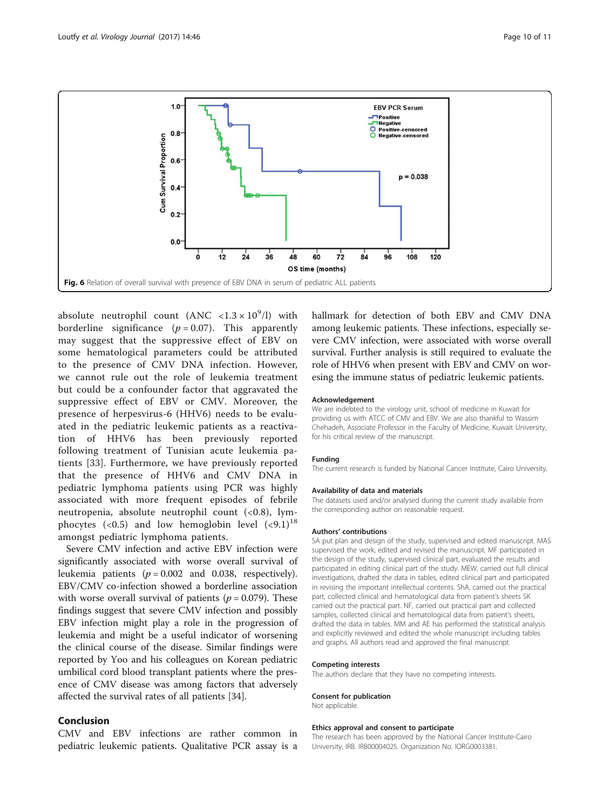<span id="page-9-0"></span>

absolute neutrophil count  $(ANC < 1.3 \times 10^9/l)$  with borderline significance  $(p = 0.07)$ . This apparently may suggest that the suppressive effect of EBV on some hematological parameters could be attributed to the presence of CMV DNA infection. However, we cannot rule out the role of leukemia treatment but could be a confounder factor that aggravated the suppressive effect of EBV or CMV. Moreover, the presence of herpesvirus-6 (HHV6) needs to be evaluated in the pediatric leukemic patients as a reactivation of HHV6 has been previously reported following treatment of Tunisian acute leukemia patients [[33\]](#page-10-0). Furthermore, we have previously reported that the presence of HHV6 and CMV DNA in pediatric lymphoma patients using PCR was highly associated with more frequent episodes of febrile neutropenia, absolute neutrophil count (<0.8), lymphocytes (<0.5) and low hemoglobin level  $(\leq 9.1)^{18}$ amongst pediatric lymphoma patients.

Severe CMV infection and active EBV infection were significantly associated with worse overall survival of leukemia patients ( $p = 0.002$  and 0.038, respectively). EBV/CMV co-infection showed a borderline association with worse overall survival of patients ( $p = 0.079$ ). These findings suggest that severe CMV infection and possibly EBV infection might play a role in the progression of leukemia and might be a useful indicator of worsening the clinical course of the disease. Similar findings were reported by Yoo and his colleagues on Korean pediatric umbilical cord blood transplant patients where the presence of CMV disease was among factors that adversely affected the survival rates of all patients [[34\]](#page-10-0).

# Conclusion

CMV and EBV infections are rather common in pediatric leukemic patients. Qualitative PCR assay is a hallmark for detection of both EBV and CMV DNA among leukemic patients. These infections, especially severe CMV infection, were associated with worse overall survival. Further analysis is still required to evaluate the role of HHV6 when present with EBV and CMV on woresing the immune status of pediatric leukemic patients.

### Acknowledgement

We are indebted to the virology unit, school of medicine in Kuwait for providing us with ATCC of CMV and EBV. We are also thankful to Wassim Chehadeh, Associate Professor in the Faculty of Medicine, Kuwait University, for his critical review of the manuscript.

#### Funding

The current research is funded by National Cancer Institute, Cairo University.

### Availability of data and materials

The datasets used and/or analysed during the current study available from the corresponding author on reasonable request.

### Authors' contributions

SA put plan and design of the study, supervised and edited manuscript. MAS supervised the work, edited and revised the manuscript. MF participated in the design of the study, supervised clinical part, evaluated the results and participated in editing clinical part of the study. MEW, carried out full clinical investigations, drafted the data in tables, edited clinical part and participated in revising the important intellectual contents. ShA, carried out the practical part, collected clinical and hematological data from patient's sheets SK carried out the practical part. NF, carried out practical part and collected samples, collected clinical and hematological data from patient's sheets, drafted the data in tables. MM and AE has performed the statistical analysis and explicitly reviewed and edited the whole manuscript including tables and graphs. All authors read and approved the final manuscript.

## Competing interests

The authors declare that they have no competing interests.

## Consent for publication

#### Not applicable.

# Ethics approval and consent to participate

The research has been approved by the National Cancer Institute-Cairo University, IRB. IRB00004025. Organization No. IORG0003381.